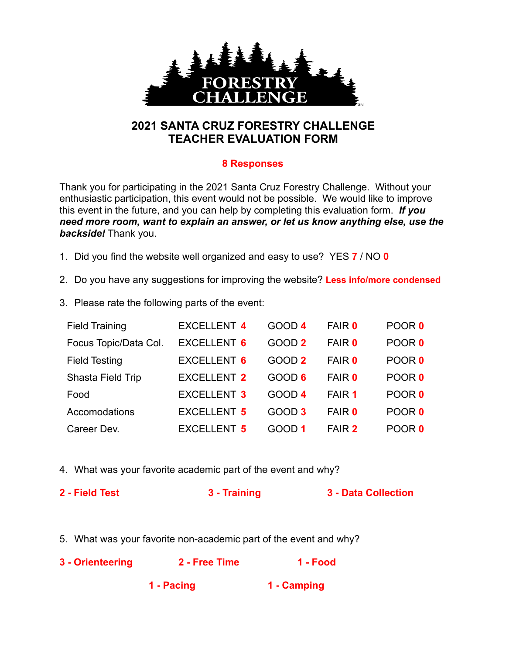

## **2021 SANTA CRUZ FORESTRY CHALLENGE TEACHER EVALUATION FORM**

## **8 Responses**

Thank you for participating in the 2021 Santa Cruz Forestry Challenge. Without your enthusiastic participation, this event would not be possible. We would like to improve this event in the future, and you can help by completing this evaluation form. *If you need more room, want to explain an answer, or let us know anything else, use the backside!* Thank you.

- 1. Did you find the website well organized and easy to use? YES **7** / NO **0**
- 2. Do you have any suggestions for improving the website? **Less info/more condensed**
- 3. Please rate the following parts of the event:

| <b>Field Training</b> | <b>EXCELLENT 4</b> | GOOD 4            | <b>FAIR 0</b> | POOR 0 |
|-----------------------|--------------------|-------------------|---------------|--------|
| Focus Topic/Data Col. | <b>EXCELLENT 6</b> | GOOD <sub>2</sub> | <b>FAIR 0</b> | POOR 0 |
| <b>Field Testing</b>  | <b>EXCELLENT 6</b> | GOOD 2            | <b>FAIR 0</b> | POOR 0 |
| Shasta Field Trip     | <b>EXCELLENT 2</b> | GOOD 6            | <b>FAIR 0</b> | POOR 0 |
| Food                  | <b>EXCELLENT 3</b> | GOOD 4            | FAIR 1        | POOR 0 |
| Accomodations         | <b>EXCELLENT 5</b> | GOOD <sub>3</sub> | <b>FAIR 0</b> | POOR 0 |
| Career Dev.           | <b>EXCELLENT 5</b> | GOOD 1            | FAIR 2        | POOR 0 |

- 4. What was your favorite academic part of the event and why?
- **2 Field Test 3 Training 3 Data Collection**
- 5. What was your favorite non-academic part of the event and why?

| 3 - Orienteering | 2 - Free Time | 1 - Food    |  |
|------------------|---------------|-------------|--|
|                  | 1 - Pacing    | 1 - Camping |  |